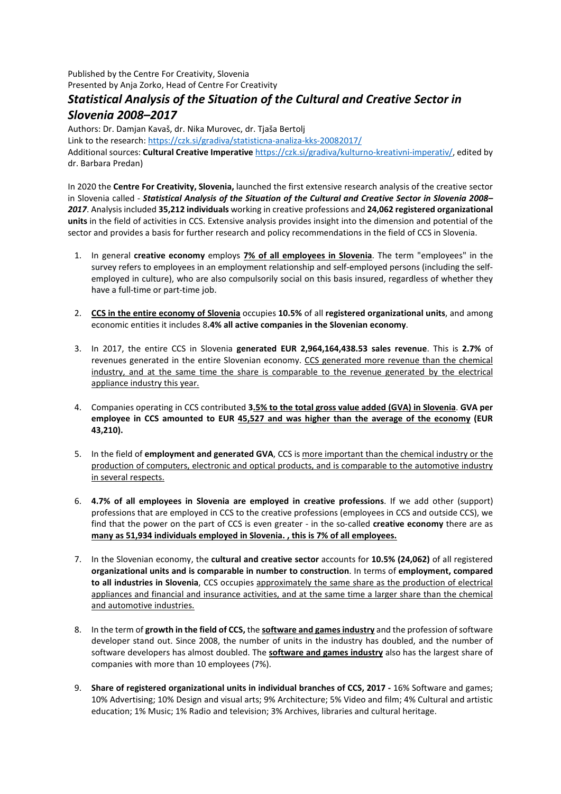Published by the Centre For Creativity, Slovenia Presented by Anja Zorko, Head of Centre For Creativity

## *Statistical Analysis of the Situation of the Cultural and Creative Sector in Slovenia 2008–2017*

Authors: Dr. Damjan Kavaš, dr. Nika Murovec, dr. Tjaša Bertolj

Link to the research:<https://czk.si/gradiva/statisticna-analiza-kks-20082017/>

Additional sources: **Cultural Creative Imperative** [https://czk.si/gradiva/kulturno-kreativni-imperativ/,](https://czk.si/gradiva/kulturno-kreativni-imperativ/) edited by dr. Barbara Predan)

In 2020 the **Centre For Creativity, Slovenia,** launched the first extensive research analysis of the creative sector in Slovenia called - *Statistical Analysis of the Situation of the Cultural and Creative Sector in Slovenia 2008– 2017*. Analysis included **35,212 individuals** working in creative professions and **24,062 registered organizational units** in the field of activities in CCS. Extensive analysis provides insight into the dimension and potential of the sector and provides a basis for further research and policy recommendations in the field of CCS in Slovenia.

- 1. In general **creative economy** employs **7% of all employees in Slovenia**. The term "employees" in the survey refers to employees in an employment relationship and self-employed persons (including the selfemployed in culture), who are also compulsorily social on this basis insured, regardless of whether they have a full-time or part-time job.
- 2. **CCS in the entire economy of Slovenia** occupies **10.5%** of all **registered organizational units**, and among economic entities it includes 8**.4% all active companies in the Slovenian economy**.
- 3. In 2017, the entire CCS in Slovenia **generated EUR 2,964,164,438.53 sales revenue**. This is **2.7%** of revenues generated in the entire Slovenian economy. CCS generated more revenue than the chemical industry, and at the same time the share is comparable to the revenue generated by the electrical appliance industry this year.
- 4. Companies operating in CCS contributed **3.5% to the total gross value added (GVA) in Slovenia**. **GVA per employee in CCS amounted to EUR 45,527 and was higher than the average of the economy (EUR 43,210).**
- 5. In the field of **employment and generated GVA**, CCS is more important than the chemical industry or the production of computers, electronic and optical products, and is comparable to the automotive industry in several respects.
- 6. **4.7% of all employees in Slovenia are employed in creative professions**. If we add other (support) professions that are employed in CCS to the creative professions (employees in CCS and outside CCS), we find that the power on the part of CCS is even greater - in the so-called **creative economy** there are as **many as 51,934 individuals employed in Slovenia. , this is 7% of all employees.**
- 7. In the Slovenian economy, the **cultural and creative sector** accounts for **10.5% (24,062)** of all registered **organizational units and is comparable in number to construction**. In terms of **employment, compared to all industries in Slovenia**, CCS occupies approximately the same share as the production of electrical appliances and financial and insurance activities, and at the same time a larger share than the chemical and automotive industries.
- 8. In the term of **growth in the field of CCS,** the **software and games industry** and the profession of software developer stand out. Since 2008, the number of units in the industry has doubled, and the number of software developers has almost doubled. The **software and games industry** also has the largest share of companies with more than 10 employees (7%).
- 9. **Share of registered organizational units in individual branches of CCS, 2017 -** 16% Software and games; 10% Advertising; 10% Design and visual arts; 9% Architecture; 5% Video and film; 4% Cultural and artistic education; 1% Music; 1% Radio and television; 3% Archives, libraries and cultural heritage.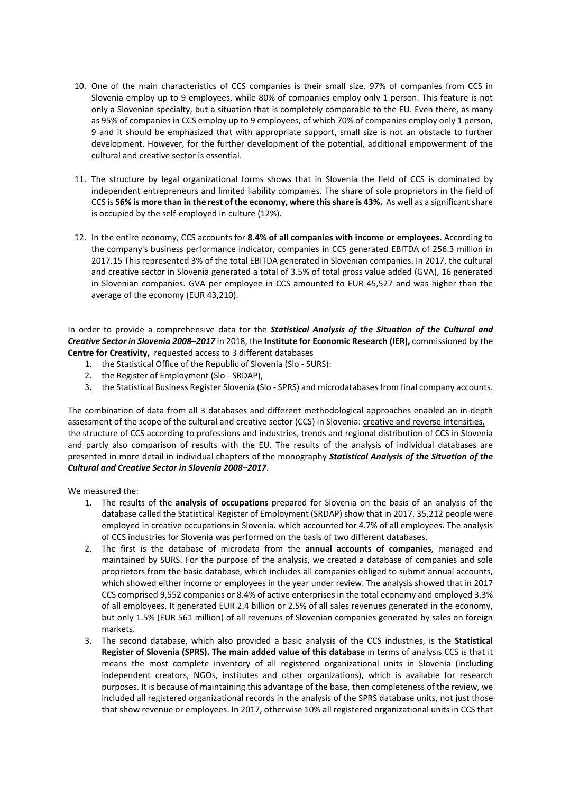- 10. One of the main characteristics of CCS companies is their small size. 97% of companies from CCS in Slovenia employ up to 9 employees, while 80% of companies employ only 1 person. This feature is not only a Slovenian specialty, but a situation that is completely comparable to the EU. Even there, as many as 95% of companies in CCS employ up to 9 employees, of which 70% of companies employ only 1 person, 9 and it should be emphasized that with appropriate support, small size is not an obstacle to further development. However, for the further development of the potential, additional empowerment of the cultural and creative sector is essential.
- 11. The structure by legal organizational forms shows that in Slovenia the field of CCS is dominated by independent entrepreneurs and limited liability companies. The share of sole proprietors in the field of CCS is **56% is more than in the rest of the economy, where this share is 43%.** As well as a significant share is occupied by the self-employed in culture (12%).
- 12. In the entire economy, CCS accounts for **8.4% of all companies with income or employees.** According to the company's business performance indicator, companies in CCS generated EBITDA of 256.3 million in 2017.15 This represented 3% of the total EBITDA generated in Slovenian companies. In 2017, the cultural and creative sector in Slovenia generated a total of 3.5% of total gross value added (GVA), 16 generated in Slovenian companies. GVA per employee in CCS amounted to EUR 45,527 and was higher than the average of the economy (EUR 43,210).

In order to provide a comprehensive data tor the *Statistical Analysis of the Situation of the Cultural and Creative Sector in Slovenia 2008–2017* in 2018, the **Institute for Economic Research (IER),** commissioned by the **Centre for Creativity,** requested access to 3 different databases

- 1. the Statistical Office of the Republic of Slovenia (Slo SURS):
- 2. the Register of Employment (Slo SRDAP),
- 3. the Statistical Business Register Slovenia (Slo SPRS) and microdatabases from final company accounts.

The combination of data from all 3 databases and different methodological approaches enabled an in-depth assessment of the scope of the cultural and creative sector (CCS) in Slovenia: creative and reverse intensities, the structure of CCS according to professions and industries, trends and regional distribution of CCS in Slovenia and partly also comparison of results with the EU. The results of the analysis of individual databases are presented in more detail in individual chapters of the monography *Statistical Analysis of the Situation of the Cultural and Creative Sector in Slovenia 2008–2017*.

We measured the:

- 1. The results of the **analysis of occupations** prepared for Slovenia on the basis of an analysis of the database called the Statistical Register of Employment (SRDAP) show that in 2017, 35,212 people were employed in creative occupations in Slovenia. which accounted for 4.7% of all employees. The analysis of CCS industries for Slovenia was performed on the basis of two different databases.
- 2. The first is the database of microdata from the **annual accounts of companies**, managed and maintained by SURS. For the purpose of the analysis, we created a database of companies and sole proprietors from the basic database, which includes all companies obliged to submit annual accounts, which showed either income or employees in the year under review. The analysis showed that in 2017 CCS comprised 9,552 companies or 8.4% of active enterprises in the total economy and employed 3.3% of all employees. It generated EUR 2.4 billion or 2.5% of all sales revenues generated in the economy, but only 1.5% (EUR 561 million) of all revenues of Slovenian companies generated by sales on foreign markets.
- 3. The second database, which also provided a basic analysis of the CCS industries, is the **Statistical Register of Slovenia (SPRS). The main added value of this database** in terms of analysis CCS is that it means the most complete inventory of all registered organizational units in Slovenia (including independent creators, NGOs, institutes and other organizations), which is available for research purposes. It is because of maintaining this advantage of the base, then completeness of the review, we included all registered organizational records in the analysis of the SPRS database units, not just those that show revenue or employees. In 2017, otherwise 10% all registered organizational units in CCS that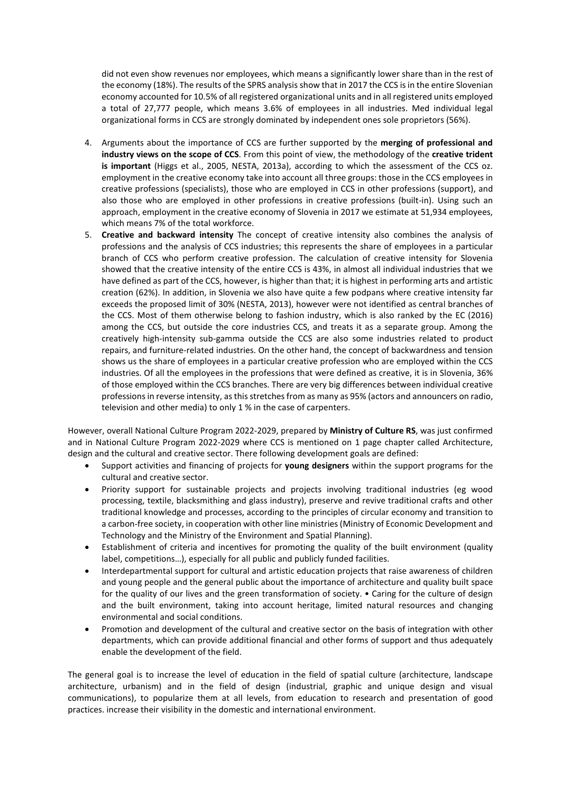did not even show revenues nor employees, which means a significantly lower share than in the rest of the economy (18%). The results of the SPRS analysis show that in 2017 the CCS is in the entire Slovenian economy accounted for 10.5% of all registered organizational units and in all registered units employed a total of 27,777 people, which means 3.6% of employees in all industries. Med individual legal organizational forms in CCS are strongly dominated by independent ones sole proprietors (56%).

- 4. Arguments about the importance of CCS are further supported by the **merging of professional and industry views on the scope of CCS**. From this point of view, the methodology of the **creative trident is important** (Higgs et al., 2005, NESTA, 2013a), according to which the assessment of the CCS oz. employment in the creative economy take into account all three groups: those in the CCS employees in creative professions (specialists), those who are employed in CCS in other professions (support), and also those who are employed in other professions in creative professions (built-in). Using such an approach, employment in the creative economy of Slovenia in 2017 we estimate at 51,934 employees, which means 7% of the total workforce.
- 5. **Creative and backward intensity** The concept of creative intensity also combines the analysis of professions and the analysis of CCS industries; this represents the share of employees in a particular branch of CCS who perform creative profession. The calculation of creative intensity for Slovenia showed that the creative intensity of the entire CCS is 43%, in almost all individual industries that we have defined as part of the CCS, however, is higher than that; it is highest in performing arts and artistic creation (62%). In addition, in Slovenia we also have quite a few podpans where creative intensity far exceeds the proposed limit of 30% (NESTA, 2013), however were not identified as central branches of the CCS. Most of them otherwise belong to fashion industry, which is also ranked by the EC (2016) among the CCS, but outside the core industries CCS, and treats it as a separate group. Among the creatively high-intensity sub-gamma outside the CCS are also some industries related to product repairs, and furniture-related industries. On the other hand, the concept of backwardness and tension shows us the share of employees in a particular creative profession who are employed within the CCS industries. Of all the employees in the professions that were defined as creative, it is in Slovenia, 36% of those employed within the CCS branches. There are very big differences between individual creative professions in reverse intensity, as this stretches from as many as 95% (actors and announcers on radio, television and other media) to only 1 % in the case of carpenters.

However, overall National Culture Program 2022-2029, prepared by **Ministry of Culture RS**, was just confirmed and in National Culture Program 2022-2029 where CCS is mentioned on 1 page chapter called Architecture, design and the cultural and creative sector. There following development goals are defined:

- Support activities and financing of projects for **young designers** within the support programs for the cultural and creative sector.
- Priority support for sustainable projects and projects involving traditional industries (eg wood processing, textile, blacksmithing and glass industry), preserve and revive traditional crafts and other traditional knowledge and processes, according to the principles of circular economy and transition to a carbon-free society, in cooperation with other line ministries (Ministry of Economic Development and Technology and the Ministry of the Environment and Spatial Planning).
- Establishment of criteria and incentives for promoting the quality of the built environment (quality label, competitions…), especially for all public and publicly funded facilities.
- Interdepartmental support for cultural and artistic education projects that raise awareness of children and young people and the general public about the importance of architecture and quality built space for the quality of our lives and the green transformation of society. • Caring for the culture of design and the built environment, taking into account heritage, limited natural resources and changing environmental and social conditions.
- Promotion and development of the cultural and creative sector on the basis of integration with other departments, which can provide additional financial and other forms of support and thus adequately enable the development of the field.

The general goal is to increase the level of education in the field of spatial culture (architecture, landscape architecture, urbanism) and in the field of design (industrial, graphic and unique design and visual communications), to popularize them at all levels, from education to research and presentation of good practices. increase their visibility in the domestic and international environment.